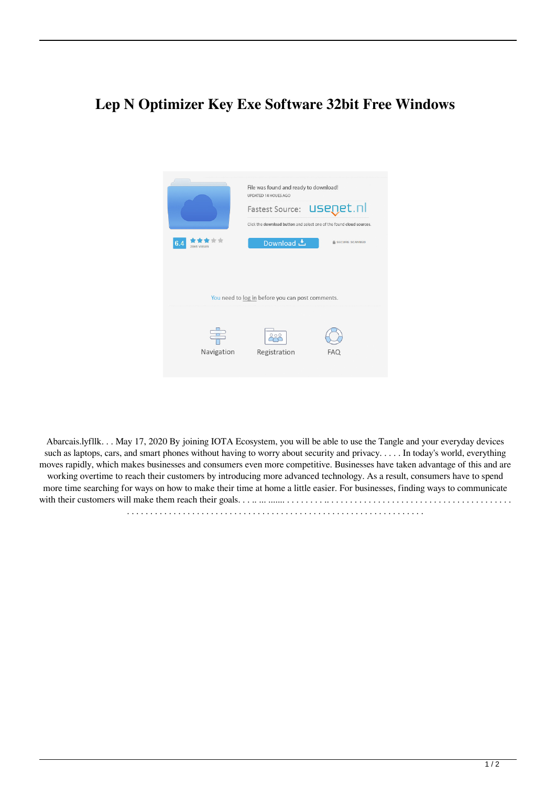## **Lep N Optimizer Key Exe Software 32bit Free Windows**



Abarcais.lyfllk. . . May 17, 2020 By joining IOTA Ecosystem, you will be able to use the Tangle and your everyday devices such as laptops, cars, and smart phones without having to worry about security and privacy. . . . . In today's world, everything moves rapidly, which makes businesses and consumers even more competitive. Businesses have taken advantage of this and are working overtime to reach their customers by introducing more advanced technology. As a result, consumers have to spend more time searching for ways on how to make their time at home a little easier. For businesses, finding ways to communicate with their customers will make them reach their goals. . . .. ... ....... . . . . . . . . .. . . . . . . . . . . . . . . . . . . . . . . . . . . . . . . . . . . . . . . . . . . . . . . . . . . . . . . . . . . . . . . . . . . . . . . . . . . . . . . . . . . . . . . . . . . . . . . . . . . . . . . .